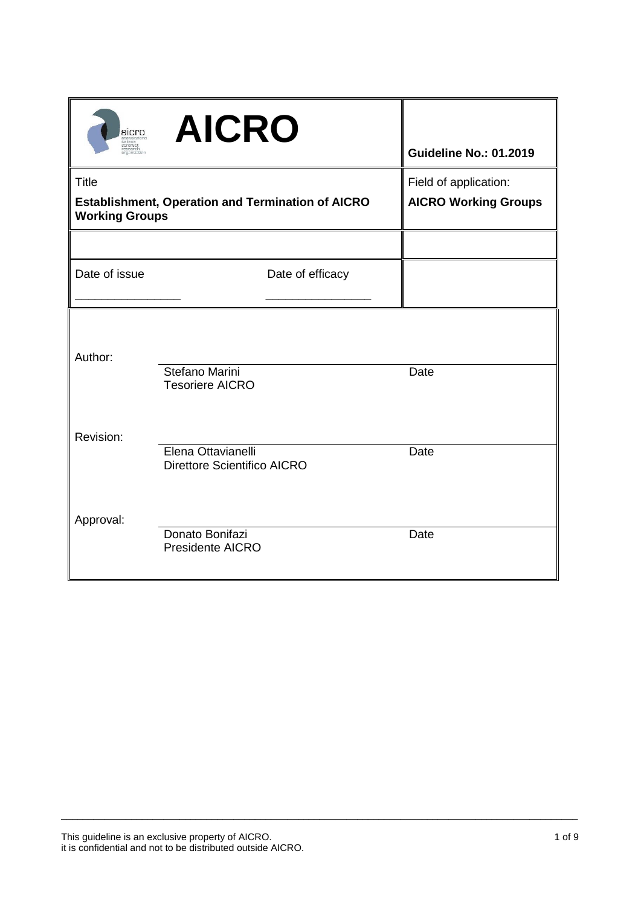| aicro<br><br>taliana  | <b>AICRO</b>                                             | <b>Guideline No.: 01.2019</b>                        |
|-----------------------|----------------------------------------------------------|------------------------------------------------------|
| <b>Title</b>          | <b>Establishment, Operation and Termination of AICRO</b> | Field of application:<br><b>AICRO Working Groups</b> |
| <b>Working Groups</b> |                                                          |                                                      |
|                       |                                                          |                                                      |
| Date of issue         | Date of efficacy                                         |                                                      |
| Author:               |                                                          |                                                      |
|                       | Stefano Marini<br><b>Tesoriere AICRO</b>                 | Date                                                 |
| Revision:             |                                                          |                                                      |
|                       | Elena Ottavianelli<br><b>Direttore Scientifico AICRO</b> | Date                                                 |
| Approval:             |                                                          |                                                      |
|                       | Donato Bonifazi<br>Presidente AICRO                      | Date                                                 |

\_\_\_\_\_\_\_\_\_\_\_\_\_\_\_\_\_\_\_\_\_\_\_\_\_\_\_\_\_\_\_\_\_\_\_\_\_\_\_\_\_\_\_\_\_\_\_\_\_\_\_\_\_\_\_\_\_\_\_\_\_\_\_\_\_\_\_\_\_\_\_\_\_\_\_\_\_\_\_\_\_\_\_\_\_\_\_\_\_\_\_\_\_\_\_\_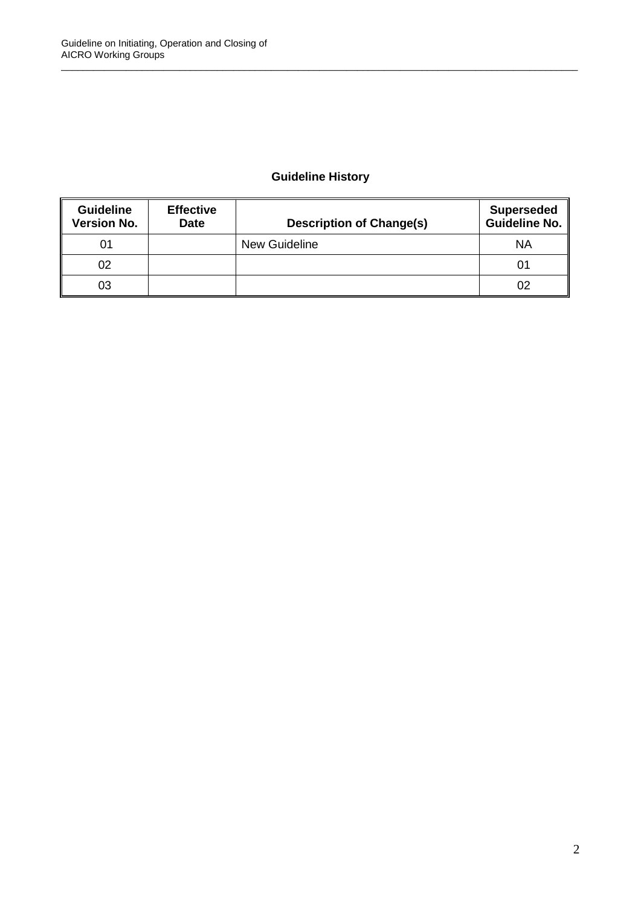# **Guideline History**

\_\_\_\_\_\_\_\_\_\_\_\_\_\_\_\_\_\_\_\_\_\_\_\_\_\_\_\_\_\_\_\_\_\_\_\_\_\_\_\_\_\_\_\_\_\_\_\_\_\_\_\_\_\_\_\_\_\_\_\_\_\_\_\_\_\_\_\_\_\_\_\_\_\_\_\_\_\_\_\_\_\_\_\_\_\_\_\_\_\_\_\_\_\_\_\_

| <b>Guideline</b><br><b>Version No.</b> | <b>Effective</b><br><b>Date</b> | <b>Description of Change(s)</b> | <b>Superseded</b><br>Guideline No. |
|----------------------------------------|---------------------------------|---------------------------------|------------------------------------|
| 01                                     |                                 | <b>New Guideline</b>            | <b>NA</b>                          |
| 02                                     |                                 |                                 | 01                                 |
| 03                                     |                                 |                                 | 02                                 |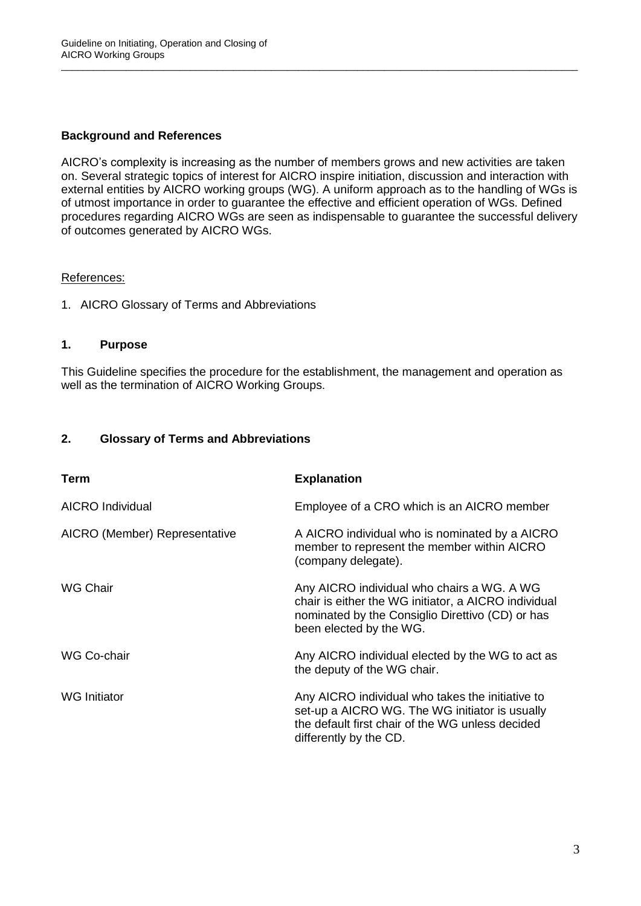# **Background and References**

AICRO's complexity is increasing as the number of members grows and new activities are taken on. Several strategic topics of interest for AICRO inspire initiation, discussion and interaction with external entities by AICRO working groups (WG). A uniform approach as to the handling of WGs is of utmost importance in order to guarantee the effective and efficient operation of WGs. Defined procedures regarding AICRO WGs are seen as indispensable to guarantee the successful delivery of outcomes generated by AICRO WGs.

\_\_\_\_\_\_\_\_\_\_\_\_\_\_\_\_\_\_\_\_\_\_\_\_\_\_\_\_\_\_\_\_\_\_\_\_\_\_\_\_\_\_\_\_\_\_\_\_\_\_\_\_\_\_\_\_\_\_\_\_\_\_\_\_\_\_\_\_\_\_\_\_\_\_\_\_\_\_\_\_\_\_\_\_\_\_\_\_\_\_\_\_\_\_\_\_

#### References:

1. AICRO Glossary of Terms and Abbreviations

#### **1. Purpose**

This Guideline specifies the procedure for the establishment, the management and operation as well as the termination of AICRO Working Groups.

## **2. Glossary of Terms and Abbreviations**

| Term                          | <b>Explanation</b>                                                                                                                                                                |
|-------------------------------|-----------------------------------------------------------------------------------------------------------------------------------------------------------------------------------|
| <b>AICRO</b> Individual       | Employee of a CRO which is an AICRO member                                                                                                                                        |
| AICRO (Member) Representative | A AICRO individual who is nominated by a AICRO<br>member to represent the member within AICRO<br>(company delegate).                                                              |
| <b>WG Chair</b>               | Any AICRO individual who chairs a WG. A WG<br>chair is either the WG initiator, a AICRO individual<br>nominated by the Consiglio Direttivo (CD) or has<br>been elected by the WG. |
| WG Co-chair                   | Any AICRO individual elected by the WG to act as<br>the deputy of the WG chair.                                                                                                   |
| <b>WG</b> Initiator           | Any AICRO individual who takes the initiative to<br>set-up a AICRO WG. The WG initiator is usually<br>the default first chair of the WG unless decided<br>differently by the CD.  |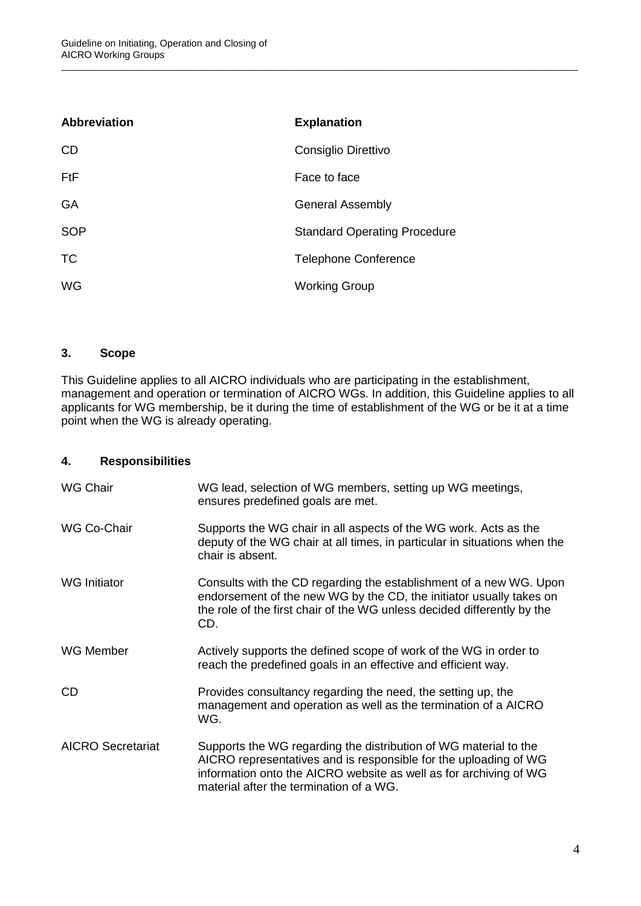| <b>Abbreviation</b> | <b>Explanation</b>                  |
|---------------------|-------------------------------------|
| <b>CD</b>           | Consiglio Direttivo                 |
| <b>FtF</b>          | Face to face                        |
| GA                  | <b>General Assembly</b>             |
| <b>SOP</b>          | <b>Standard Operating Procedure</b> |
| <b>TC</b>           | <b>Telephone Conference</b>         |
| WG                  | <b>Working Group</b>                |

## **3. Scope**

This Guideline applies to all AICRO individuals who are participating in the establishment, management and operation or termination of AICRO WGs. In addition, this Guideline applies to all applicants for WG membership, be it during the time of establishment of the WG or be it at a time point when the WG is already operating.

\_\_\_\_\_\_\_\_\_\_\_\_\_\_\_\_\_\_\_\_\_\_\_\_\_\_\_\_\_\_\_\_\_\_\_\_\_\_\_\_\_\_\_\_\_\_\_\_\_\_\_\_\_\_\_\_\_\_\_\_\_\_\_\_\_\_\_\_\_\_\_\_\_\_\_\_\_\_\_\_\_\_\_\_\_\_\_\_\_\_\_\_\_\_\_\_

#### **4. Responsibilities**

| <b>WG Chair</b>          | WG lead, selection of WG members, setting up WG meetings,<br>ensures predefined goals are met.                                                                                                                                                       |
|--------------------------|------------------------------------------------------------------------------------------------------------------------------------------------------------------------------------------------------------------------------------------------------|
| WG Co-Chair              | Supports the WG chair in all aspects of the WG work. Acts as the<br>deputy of the WG chair at all times, in particular in situations when the<br>chair is absent.                                                                                    |
| <b>WG</b> Initiator      | Consults with the CD regarding the establishment of a new WG. Upon<br>endorsement of the new WG by the CD, the initiator usually takes on<br>the role of the first chair of the WG unless decided differently by the<br>CD.                          |
| WG Member                | Actively supports the defined scope of work of the WG in order to<br>reach the predefined goals in an effective and efficient way.                                                                                                                   |
| <b>CD</b>                | Provides consultancy regarding the need, the setting up, the<br>management and operation as well as the termination of a AICRO<br>WG.                                                                                                                |
| <b>AICRO Secretariat</b> | Supports the WG regarding the distribution of WG material to the<br>AICRO representatives and is responsible for the uploading of WG<br>information onto the AICRO website as well as for archiving of WG<br>material after the termination of a WG. |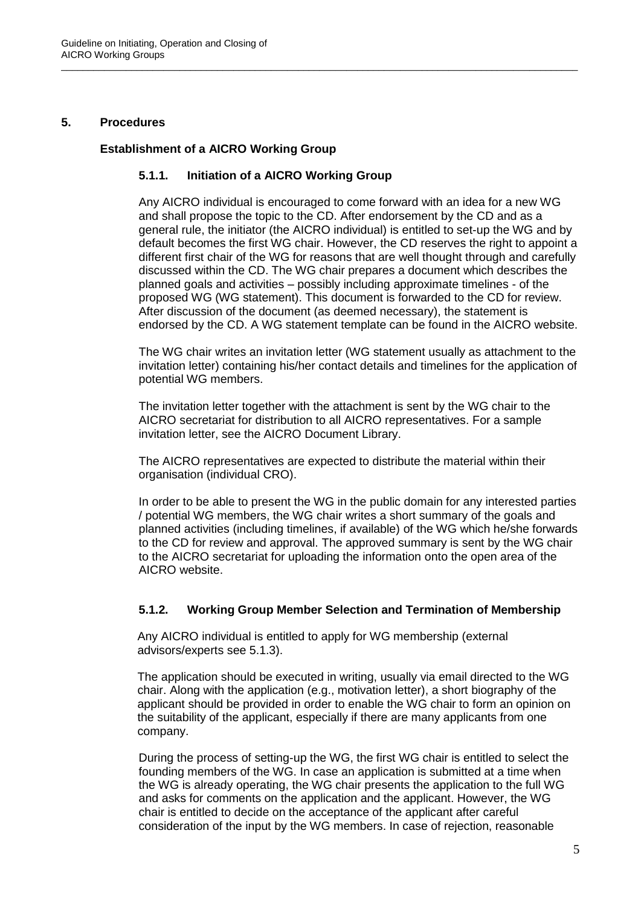#### **5. Procedures**

#### **Establishment of a AICRO Working Group**

#### **5.1.1. Initiation of a AICRO Working Group**

\_\_\_\_\_\_\_\_\_\_\_\_\_\_\_\_\_\_\_\_\_\_\_\_\_\_\_\_\_\_\_\_\_\_\_\_\_\_\_\_\_\_\_\_\_\_\_\_\_\_\_\_\_\_\_\_\_\_\_\_\_\_\_\_\_\_\_\_\_\_\_\_\_\_\_\_\_\_\_\_\_\_\_\_\_\_\_\_\_\_\_\_\_\_\_\_

Any AICRO individual is encouraged to come forward with an idea for a new WG and shall propose the topic to the CD. After endorsement by the CD and as a general rule, the initiator (the AICRO individual) is entitled to set-up the WG and by default becomes the first WG chair. However, the CD reserves the right to appoint a different first chair of the WG for reasons that are well thought through and carefully discussed within the CD. The WG chair prepares a document which describes the planned goals and activities – possibly including approximate timelines - of the proposed WG (WG statement). This document is forwarded to the CD for review. After discussion of the document (as deemed necessary), the statement is endorsed by the CD. A WG statement template can be found in the AICRO website.

The WG chair writes an invitation letter (WG statement usually as attachment to the invitation letter) containing his/her contact details and timelines for the application of potential WG members.

The invitation letter together with the attachment is sent by the WG chair to the AICRO secretariat for distribution to all AICRO representatives. For a sample invitation letter, see the AICRO Document Library.

The AICRO representatives are expected to distribute the material within their organisation (individual CRO).

In order to be able to present the WG in the public domain for any interested parties / potential WG members, the WG chair writes a short summary of the goals and planned activities (including timelines, if available) of the WG which he/she forwards to the CD for review and approval. The approved summary is sent by the WG chair to the AICRO secretariat for uploading the information onto the open area of the AICRO website.

#### **5.1.2. Working Group Member Selection and Termination of Membership**

Any AICRO individual is entitled to apply for WG membership (external advisors/experts see 5.1.3).

The application should be executed in writing, usually via email directed to the WG chair. Along with the application (e.g., motivation letter), a short biography of the applicant should be provided in order to enable the WG chair to form an opinion on the suitability of the applicant, especially if there are many applicants from one company.

During the process of setting-up the WG, the first WG chair is entitled to select the founding members of the WG. In case an application is submitted at a time when the WG is already operating, the WG chair presents the application to the full WG and asks for comments on the application and the applicant. However, the WG chair is entitled to decide on the acceptance of the applicant after careful consideration of the input by the WG members. In case of rejection, reasonable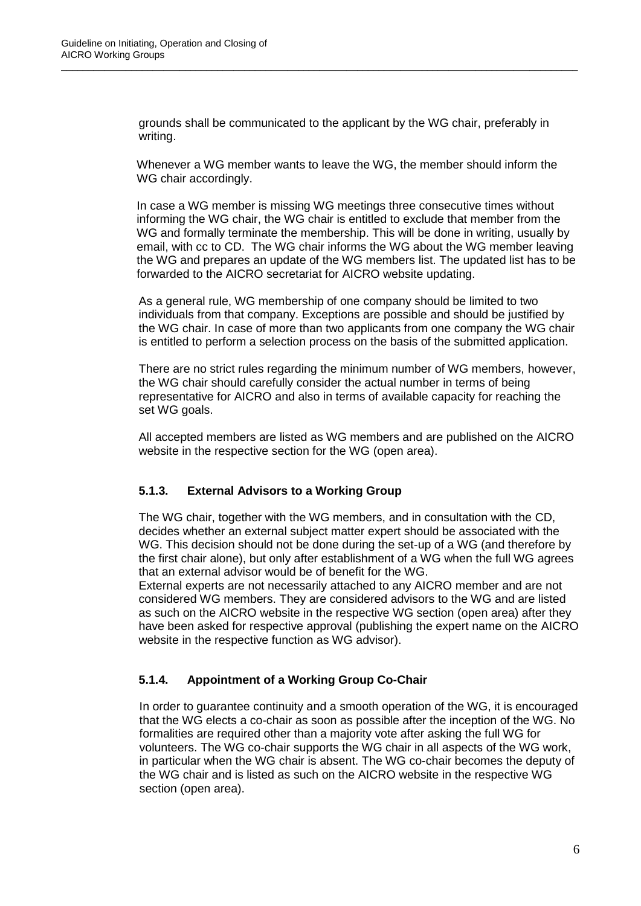grounds shall be communicated to the applicant by the WG chair, preferably in writing.

\_\_\_\_\_\_\_\_\_\_\_\_\_\_\_\_\_\_\_\_\_\_\_\_\_\_\_\_\_\_\_\_\_\_\_\_\_\_\_\_\_\_\_\_\_\_\_\_\_\_\_\_\_\_\_\_\_\_\_\_\_\_\_\_\_\_\_\_\_\_\_\_\_\_\_\_\_\_\_\_\_\_\_\_\_\_\_\_\_\_\_\_\_\_\_\_

Whenever a WG member wants to leave the WG, the member should inform the WG chair accordingly.

In case a WG member is missing WG meetings three consecutive times without informing the WG chair, the WG chair is entitled to exclude that member from the WG and formally terminate the membership. This will be done in writing, usually by email, with cc to CD. The WG chair informs the WG about the WG member leaving the WG and prepares an update of the WG members list. The updated list has to be forwarded to the AICRO secretariat for AICRO website updating.

As a general rule, WG membership of one company should be limited to two individuals from that company. Exceptions are possible and should be justified by the WG chair. In case of more than two applicants from one company the WG chair is entitled to perform a selection process on the basis of the submitted application.

There are no strict rules regarding the minimum number of WG members, however, the WG chair should carefully consider the actual number in terms of being representative for AICRO and also in terms of available capacity for reaching the set WG goals.

All accepted members are listed as WG members and are published on the AICRO website in the respective section for the WG (open area).

# **5.1.3. External Advisors to a Working Group**

The WG chair, together with the WG members, and in consultation with the CD, decides whether an external subject matter expert should be associated with the WG. This decision should not be done during the set-up of a WG (and therefore by the first chair alone), but only after establishment of a WG when the full WG agrees that an external advisor would be of benefit for the WG.

External experts are not necessarily attached to any AICRO member and are not considered WG members. They are considered advisors to the WG and are listed as such on the AICRO website in the respective WG section (open area) after they have been asked for respective approval (publishing the expert name on the AICRO website in the respective function as WG advisor).

# **5.1.4. Appointment of a Working Group Co-Chair**

In order to guarantee continuity and a smooth operation of the WG, it is encouraged that the WG elects a co-chair as soon as possible after the inception of the WG. No formalities are required other than a majority vote after asking the full WG for volunteers. The WG co-chair supports the WG chair in all aspects of the WG work, in particular when the WG chair is absent. The WG co-chair becomes the deputy of the WG chair and is listed as such on the AICRO website in the respective WG section (open area).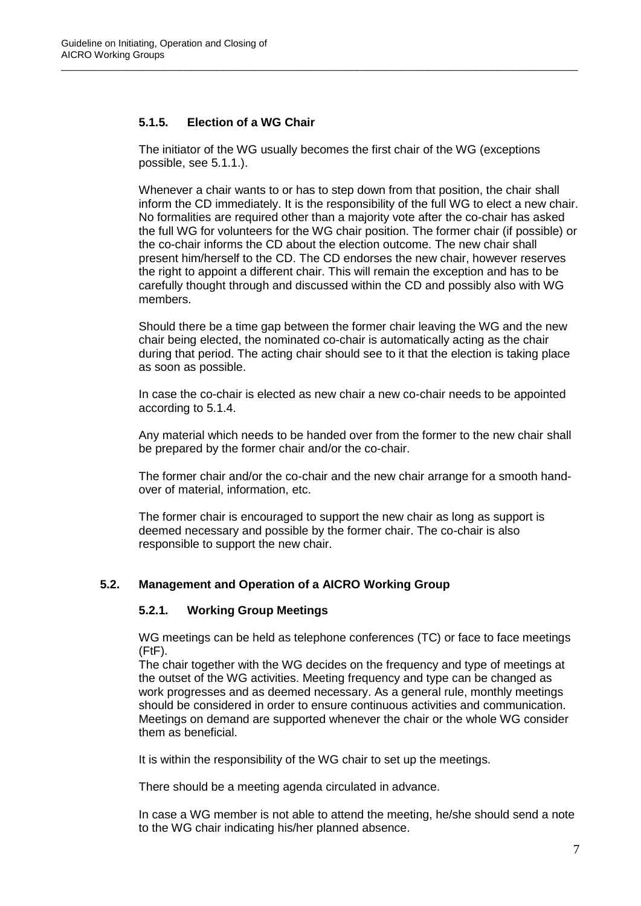# **5.1.5. Election of a WG Chair**

The initiator of the WG usually becomes the first chair of the WG (exceptions possible, see 5.1.1.).

\_\_\_\_\_\_\_\_\_\_\_\_\_\_\_\_\_\_\_\_\_\_\_\_\_\_\_\_\_\_\_\_\_\_\_\_\_\_\_\_\_\_\_\_\_\_\_\_\_\_\_\_\_\_\_\_\_\_\_\_\_\_\_\_\_\_\_\_\_\_\_\_\_\_\_\_\_\_\_\_\_\_\_\_\_\_\_\_\_\_\_\_\_\_\_\_

Whenever a chair wants to or has to step down from that position, the chair shall inform the CD immediately. It is the responsibility of the full WG to elect a new chair. No formalities are required other than a majority vote after the co-chair has asked the full WG for volunteers for the WG chair position. The former chair (if possible) or the co-chair informs the CD about the election outcome. The new chair shall present him/herself to the CD. The CD endorses the new chair, however reserves the right to appoint a different chair. This will remain the exception and has to be carefully thought through and discussed within the CD and possibly also with WG members.

Should there be a time gap between the former chair leaving the WG and the new chair being elected, the nominated co-chair is automatically acting as the chair during that period. The acting chair should see to it that the election is taking place as soon as possible.

In case the co-chair is elected as new chair a new co-chair needs to be appointed according to 5.1.4.

Any material which needs to be handed over from the former to the new chair shall be prepared by the former chair and/or the co-chair.

The former chair and/or the co-chair and the new chair arrange for a smooth handover of material, information, etc.

The former chair is encouraged to support the new chair as long as support is deemed necessary and possible by the former chair. The co-chair is also responsible to support the new chair.

# **5.2. Management and Operation of a AICRO Working Group**

#### **5.2.1. Working Group Meetings**

WG meetings can be held as telephone conferences (TC) or face to face meetings (FtF).

The chair together with the WG decides on the frequency and type of meetings at the outset of the WG activities. Meeting frequency and type can be changed as work progresses and as deemed necessary. As a general rule, monthly meetings should be considered in order to ensure continuous activities and communication. Meetings on demand are supported whenever the chair or the whole WG consider them as beneficial.

It is within the responsibility of the WG chair to set up the meetings.

There should be a meeting agenda circulated in advance.

In case a WG member is not able to attend the meeting, he/she should send a note to the WG chair indicating his/her planned absence.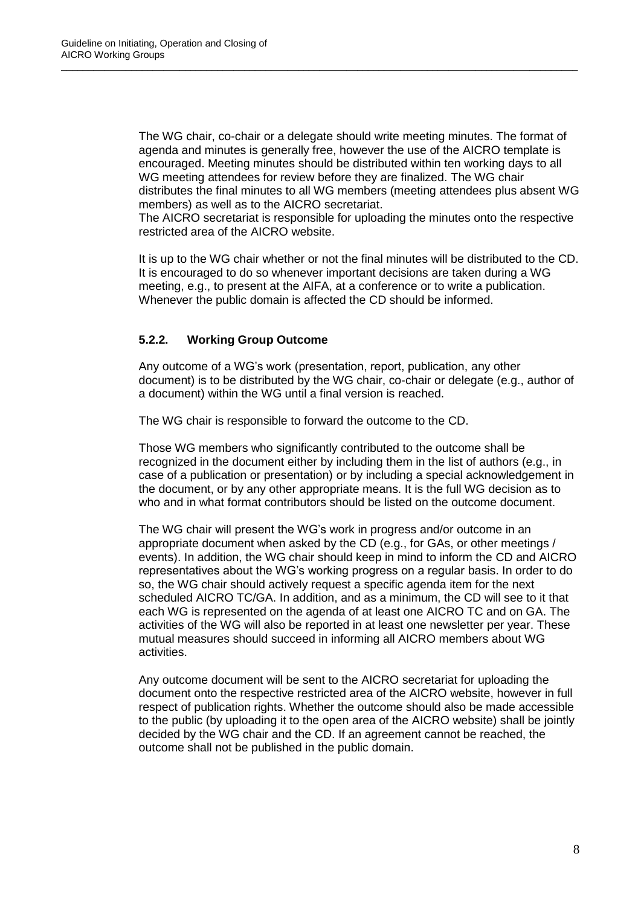The WG chair, co-chair or a delegate should write meeting minutes. The format of agenda and minutes is generally free, however the use of the AICRO template is encouraged. Meeting minutes should be distributed within ten working days to all WG meeting attendees for review before they are finalized. The WG chair distributes the final minutes to all WG members (meeting attendees plus absent WG members) as well as to the AICRO secretariat.

\_\_\_\_\_\_\_\_\_\_\_\_\_\_\_\_\_\_\_\_\_\_\_\_\_\_\_\_\_\_\_\_\_\_\_\_\_\_\_\_\_\_\_\_\_\_\_\_\_\_\_\_\_\_\_\_\_\_\_\_\_\_\_\_\_\_\_\_\_\_\_\_\_\_\_\_\_\_\_\_\_\_\_\_\_\_\_\_\_\_\_\_\_\_\_\_

The AICRO secretariat is responsible for uploading the minutes onto the respective restricted area of the AICRO website.

It is up to the WG chair whether or not the final minutes will be distributed to the CD. It is encouraged to do so whenever important decisions are taken during a WG meeting, e.g., to present at the AIFA, at a conference or to write a publication. Whenever the public domain is affected the CD should be informed.

## **5.2.2. Working Group Outcome**

Any outcome of a WG's work (presentation, report, publication, any other document) is to be distributed by the WG chair, co-chair or delegate (e.g., author of a document) within the WG until a final version is reached.

The WG chair is responsible to forward the outcome to the CD.

Those WG members who significantly contributed to the outcome shall be recognized in the document either by including them in the list of authors (e.g., in case of a publication or presentation) or by including a special acknowledgement in the document, or by any other appropriate means. It is the full WG decision as to who and in what format contributors should be listed on the outcome document.

The WG chair will present the WG's work in progress and/or outcome in an appropriate document when asked by the CD (e.g., for GAs, or other meetings / events). In addition, the WG chair should keep in mind to inform the CD and AICRO representatives about the WG's working progress on a regular basis. In order to do so, the WG chair should actively request a specific agenda item for the next scheduled AICRO TC/GA. In addition, and as a minimum, the CD will see to it that each WG is represented on the agenda of at least one AICRO TC and on GA. The activities of the WG will also be reported in at least one newsletter per year. These mutual measures should succeed in informing all AICRO members about WG activities.

Any outcome document will be sent to the AICRO secretariat for uploading the document onto the respective restricted area of the AICRO website, however in full respect of publication rights. Whether the outcome should also be made accessible to the public (by uploading it to the open area of the AICRO website) shall be jointly decided by the WG chair and the CD. If an agreement cannot be reached, the outcome shall not be published in the public domain.